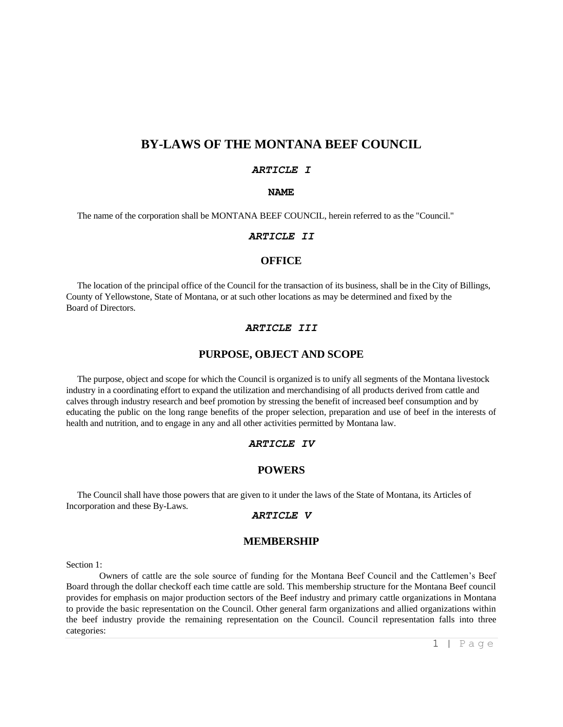# **BY-LAWS OF THE MONTANA BEEF COUNCIL**

### *ARTICLE I*

## **NAME**

The name of the corporation shall be MONTANA BEEF COUNCIL, herein referred to as the "Council."

### *ARTICLE II*

## **OFFICE**

 The location of the principal office of the Council for the transaction of its business, shall be in the City of Billings, County of Yellowstone, State of Montana, or at such other locations as may be determined and fixed by the Board of Directors.

## *ARTICLE III*

## **PURPOSE, OBJECT AND SCOPE**

 The purpose, object and scope for which the Council is organized is to unify all segments of the Montana livestock industry in a coordinating effort to expand the utilization and merchandising of all products derived from cattle and calves through industry research and beef promotion by stressing the benefit of increased beef consumption and by educating the public on the long range benefits of the proper selection, preparation and use of beef in the interests of health and nutrition, and to engage in any and all other activities permitted by Montana law.

## *ARTICLE IV*

## **POWERS**

 The Council shall have those powers that are given to it under the laws of the State of Montana, its Articles of Incorporation and these By-Laws.

## *ARTICLE V*

## **MEMBERSHIP**

Section 1:

Owners of cattle are the sole source of funding for the Montana Beef Council and the Cattlemen's Beef Board through the dollar checkoff each time cattle are sold. This membership structure for the Montana Beef council provides for emphasis on major production sectors of the Beef industry and primary cattle organizations in Montana to provide the basic representation on the Council. Other general farm organizations and allied organizations within the beef industry provide the remaining representation on the Council. Council representation falls into three categories: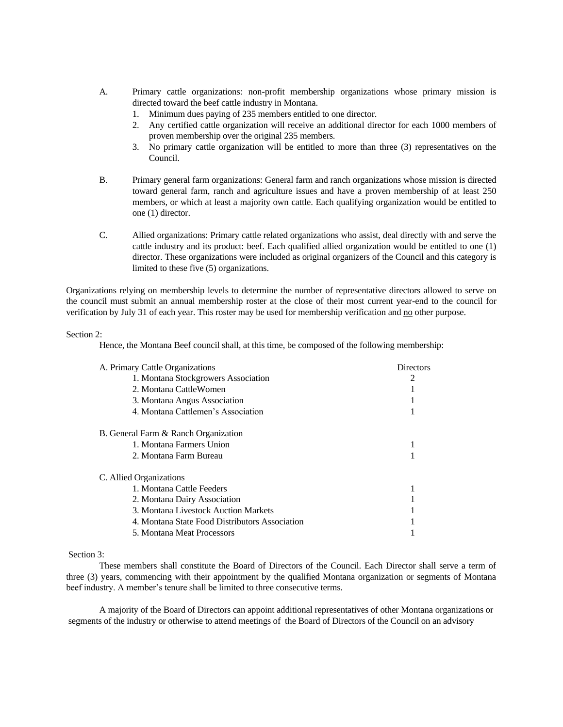- A. Primary cattle organizations: non-profit membership organizations whose primary mission is directed toward the beef cattle industry in Montana.
	- 1. Minimum dues paying of 235 members entitled to one director.
	- 2. Any certified cattle organization will receive an additional director for each 1000 members of proven membership over the original 235 members.
	- 3. No primary cattle organization will be entitled to more than three (3) representatives on the Council.
- B. Primary general farm organizations: General farm and ranch organizations whose mission is directed toward general farm, ranch and agriculture issues and have a proven membership of at least 250 members, or which at least a majority own cattle. Each qualifying organization would be entitled to one (1) director.
- C. Allied organizations: Primary cattle related organizations who assist, deal directly with and serve the cattle industry and its product: beef. Each qualified allied organization would be entitled to one (1) director. These organizations were included as original organizers of the Council and this category is limited to these five (5) organizations.

Organizations relying on membership levels to determine the number of representative directors allowed to serve on the council must submit an annual membership roster at the close of their most current year-end to the council for verification by July 31 of each year. This roster may be used for membership verification and no other purpose.

### Section 2:

Hence, the Montana Beef council shall, at this time, be composed of the following membership:

| A. Primary Cattle Organizations                | Directors |
|------------------------------------------------|-----------|
| 1. Montana Stockgrowers Association            |           |
| 2. Montana CattleWomen                         |           |
| 3. Montana Angus Association                   |           |
| 4. Montana Cattlemen's Association             |           |
| B. General Farm & Ranch Organization           |           |
| 1. Montana Farmers Union                       |           |
| 2. Montana Farm Bureau                         |           |
| C. Allied Organizations                        |           |
| 1. Montana Cattle Feeders                      |           |
| 2. Montana Dairy Association                   |           |
| 3. Montana Livestock Auction Markets           |           |
| 4. Montana State Food Distributors Association |           |
| 5. Montana Meat Processors                     |           |
|                                                |           |

### Section 3:

These members shall constitute the Board of Directors of the Council. Each Director shall serve a term of three (3) years, commencing with their appointment by the qualified Montana organization or segments of Montana beef industry. A member's tenure shall be limited to three consecutive terms.

A majority of the Board of Directors can appoint additional representatives of other Montana organizations or segments of the industry or otherwise to attend meetings of the Board of Directors of the Council on an advisory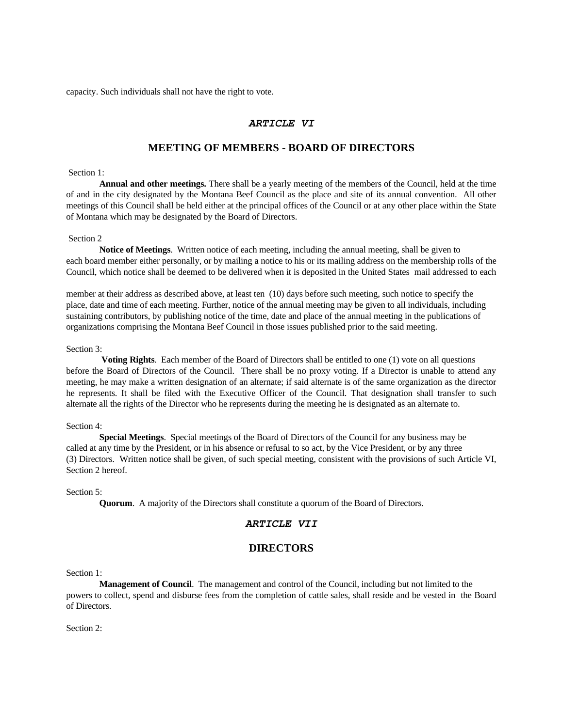capacity. Such individuals shall not have the right to vote.

## *ARTICLE VI*

## **MEETING OF MEMBERS - BOARD OF DIRECTORS**

#### Section 1:

**Annual and other meetings.** There shall be a yearly meeting of the members of the Council, held at the time of and in the city designated by the Montana Beef Council as the place and site of its annual convention. All other meetings of this Council shall be held either at the principal offices of the Council or at any other place within the State of Montana which may be designated by the Board of Directors.

### Section 2

**Notice of Meetings**. Written notice of each meeting, including the annual meeting, shall be given to each board member either personally, or by mailing a notice to his or its mailing address on the membership rolls of the Council, which notice shall be deemed to be delivered when it is deposited in the United States mail addressed to each

member at their address as described above, at least ten (10) days before such meeting, such notice to specify the place, date and time of each meeting. Further, notice of the annual meeting may be given to all individuals, including sustaining contributors, by publishing notice of the time, date and place of the annual meeting in the publications of organizations comprising the Montana Beef Council in those issues published prior to the said meeting.

#### Section 3:

**Voting Rights**. Each member of the Board of Directors shall be entitled to one (1) vote on all questions before the Board of Directors of the Council. There shall be no proxy voting. If a Director is unable to attend any meeting, he may make a written designation of an alternate; if said alternate is of the same organization as the director he represents. It shall be filed with the Executive Officer of the Council. That designation shall transfer to such alternate all the rights of the Director who he represents during the meeting he is designated as an alternate to.

#### Section 4:

**Special Meetings**. Special meetings of the Board of Directors of the Council for any business may be called at any time by the President, or in his absence or refusal to so act, by the Vice President, or by any three (3) Directors. Written notice shall be given, of such special meeting, consistent with the provisions of such Article VI, Section 2 hereof.

#### Section 5:

**Quorum**. A majority of the Directors shall constitute a quorum of the Board of Directors.

### *ARTICLE VII*

## **DIRECTORS**

### Section 1:

**Management of Council**. The management and control of the Council, including but not limited to the powers to collect, spend and disburse fees from the completion of cattle sales, shall reside and be vested in the Board of Directors.

Section 2: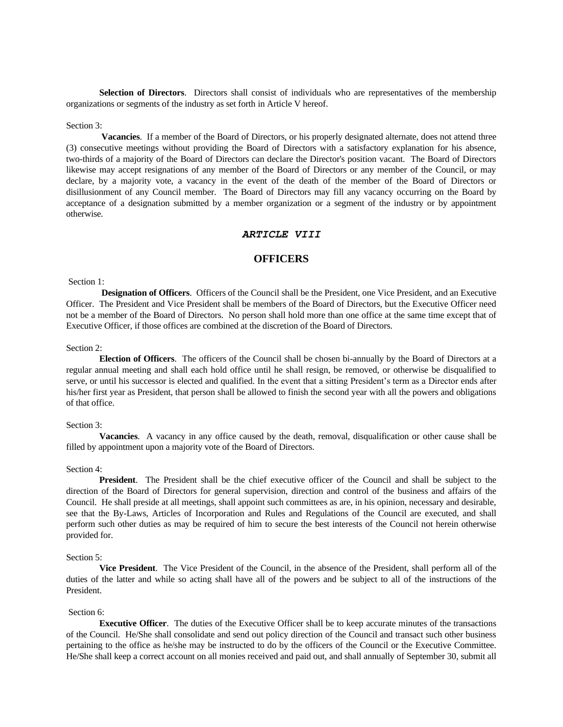**Selection of Directors**. Directors shall consist of individuals who are representatives of the membership organizations or segments of the industry as set forth in Article V hereof.

Section 3:

**Vacancies**. If a member of the Board of Directors, or his properly designated alternate, does not attend three (3) consecutive meetings without providing the Board of Directors with a satisfactory explanation for his absence, two-thirds of a majority of the Board of Directors can declare the Director's position vacant. The Board of Directors likewise may accept resignations of any member of the Board of Directors or any member of the Council, or may declare, by a majority vote, a vacancy in the event of the death of the member of the Board of Directors or disillusionment of any Council member. The Board of Directors may fill any vacancy occurring on the Board by acceptance of a designation submitted by a member organization or a segment of the industry or by appointment otherwise.

## *ARTICLE VIII*

## **OFFICERS**

Section 1:

**Designation of Officers**. Officers of the Council shall be the President, one Vice President, and an Executive Officer. The President and Vice President shall be members of the Board of Directors, but the Executive Officer need not be a member of the Board of Directors. No person shall hold more than one office at the same time except that of Executive Officer, if those offices are combined at the discretion of the Board of Directors.

#### Section 2:

**Election of Officers**. The officers of the Council shall be chosen bi-annually by the Board of Directors at a regular annual meeting and shall each hold office until he shall resign, be removed, or otherwise be disqualified to serve, or until his successor is elected and qualified. In the event that a sitting President's term as a Director ends after his/her first year as President, that person shall be allowed to finish the second year with all the powers and obligations of that office.

### Section 3:

**Vacancies**. A vacancy in any office caused by the death, removal, disqualification or other cause shall be filled by appointment upon a majority vote of the Board of Directors.

### Section 4:

**President**. The President shall be the chief executive officer of the Council and shall be subject to the direction of the Board of Directors for general supervision, direction and control of the business and affairs of the Council. He shall preside at all meetings, shall appoint such committees as are, in his opinion, necessary and desirable, see that the By-Laws, Articles of Incorporation and Rules and Regulations of the Council are executed, and shall perform such other duties as may be required of him to secure the best interests of the Council not herein otherwise provided for.

#### Section 5:

**Vice President**. The Vice President of the Council, in the absence of the President, shall perform all of the duties of the latter and while so acting shall have all of the powers and be subject to all of the instructions of the President.

#### Section 6:

**Executive Officer**. The duties of the Executive Officer shall be to keep accurate minutes of the transactions of the Council. He/She shall consolidate and send out policy direction of the Council and transact such other business pertaining to the office as he/she may be instructed to do by the officers of the Council or the Executive Committee. He/She shall keep a correct account on all monies received and paid out, and shall annually of September 30, submit all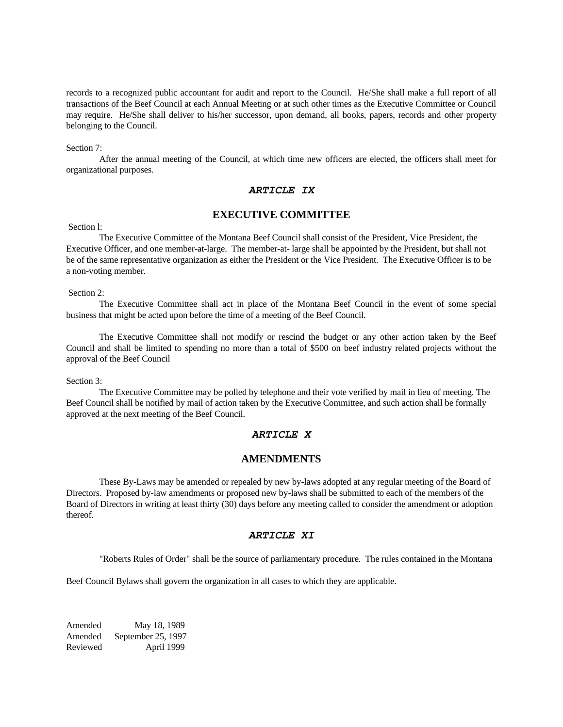records to a recognized public accountant for audit and report to the Council. He/She shall make a full report of all transactions of the Beef Council at each Annual Meeting or at such other times as the Executive Committee or Council may require. He/She shall deliver to his/her successor, upon demand, all books, papers, records and other property belonging to the Council.

Section 7:

After the annual meeting of the Council, at which time new officers are elected, the officers shall meet for organizational purposes.

#### *ARTICLE IX*

## **EXECUTIVE COMMITTEE**

Section l:

The Executive Committee of the Montana Beef Council shall consist of the President, Vice President, the Executive Officer, and one member-at-large. The member-at- large shall be appointed by the President, but shall not be of the same representative organization as either the President or the Vice President. The Executive Officer is to be a non-voting member.

Section 2:

The Executive Committee shall act in place of the Montana Beef Council in the event of some special business that might be acted upon before the time of a meeting of the Beef Council.

The Executive Committee shall not modify or rescind the budget or any other action taken by the Beef Council and shall be limited to spending no more than a total of \$500 on beef industry related projects without the approval of the Beef Council

Section 3:

The Executive Committee may be polled by telephone and their vote verified by mail in lieu of meeting. The Beef Council shall be notified by mail of action taken by the Executive Committee, and such action shall be formally approved at the next meeting of the Beef Council.

## *ARTICLE X*

## **AMENDMENTS**

These By-Laws may be amended or repealed by new by-laws adopted at any regular meeting of the Board of Directors. Proposed by-law amendments or proposed new by-laws shall be submitted to each of the members of the Board of Directors in writing at least thirty (30) days before any meeting called to consider the amendment or adoption thereof.

## *ARTICLE XI*

"Roberts Rules of Order" shall be the source of parliamentary procedure. The rules contained in the Montana

Beef Council Bylaws shall govern the organization in all cases to which they are applicable.

Amended May 18, 1989 Amended September 25, 1997 Reviewed April 1999